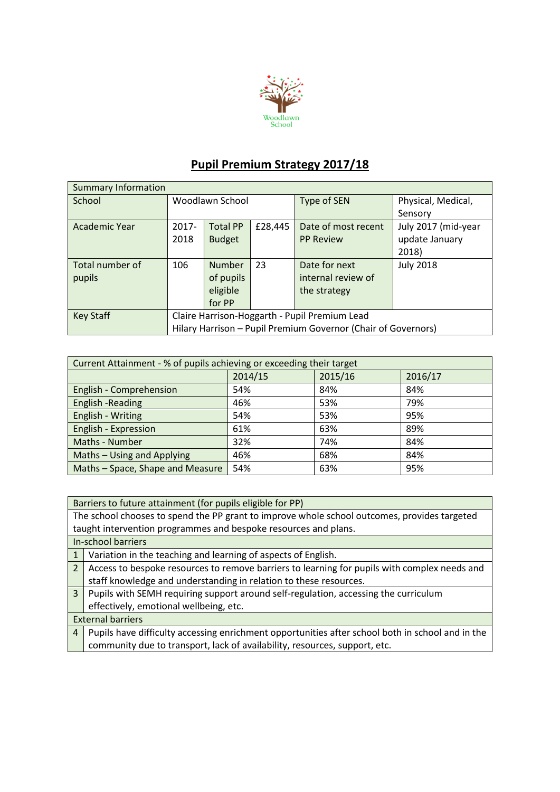

## **Pupil Premium Strategy 2017/18**

| <b>Summary Information</b> |                                                               |                 |             |                     |                     |  |  |
|----------------------------|---------------------------------------------------------------|-----------------|-------------|---------------------|---------------------|--|--|
| School                     | Woodlawn School                                               |                 | Type of SEN | Physical, Medical,  |                     |  |  |
|                            |                                                               |                 |             |                     | Sensory             |  |  |
| Academic Year              | $2017 -$                                                      | <b>Total PP</b> | £28,445     | Date of most recent | July 2017 (mid-year |  |  |
|                            | 2018                                                          | <b>Budget</b>   |             | <b>PP Review</b>    | update January      |  |  |
|                            |                                                               |                 |             |                     | 2018)               |  |  |
| Total number of            | 106                                                           | <b>Number</b>   | 23          | Date for next       | <b>July 2018</b>    |  |  |
| pupils                     |                                                               | of pupils       |             | internal review of  |                     |  |  |
|                            |                                                               | eligible        |             | the strategy        |                     |  |  |
|                            |                                                               | for PP          |             |                     |                     |  |  |
| <b>Key Staff</b>           | Claire Harrison-Hoggarth - Pupil Premium Lead                 |                 |             |                     |                     |  |  |
|                            | Hilary Harrison - Pupil Premium Governor (Chair of Governors) |                 |             |                     |                     |  |  |

| Current Attainment - % of pupils achieving or exceeding their target |         |         |         |  |  |
|----------------------------------------------------------------------|---------|---------|---------|--|--|
|                                                                      | 2014/15 | 2015/16 | 2016/17 |  |  |
| English - Comprehension                                              | 54%     | 84%     | 84%     |  |  |
| <b>English -Reading</b>                                              | 46%     | 53%     | 79%     |  |  |
| English - Writing                                                    | 54%     | 53%     | 95%     |  |  |
| English - Expression                                                 | 61%     | 63%     | 89%     |  |  |
| Maths - Number                                                       | 32%     | 74%     | 84%     |  |  |
| Maths - Using and Applying                                           | 46%     | 68%     | 84%     |  |  |
| Maths - Space, Shape and Measure                                     | 54%     | 63%     | 95%     |  |  |

Barriers to future attainment (for pupils eligible for PP)

The school chooses to spend the PP grant to improve whole school outcomes, provides targeted taught intervention programmes and bespoke resources and plans.

In-school barriers

- 1 Variation in the teaching and learning of aspects of English.
- 2 Access to bespoke resources to remove barriers to learning for pupils with complex needs and staff knowledge and understanding in relation to these resources.
- 3 Pupils with SEMH requiring support around self-regulation, accessing the curriculum effectively, emotional wellbeing, etc.

## External barriers

4 Pupils have difficulty accessing enrichment opportunities after school both in school and in the community due to transport, lack of availability, resources, support, etc.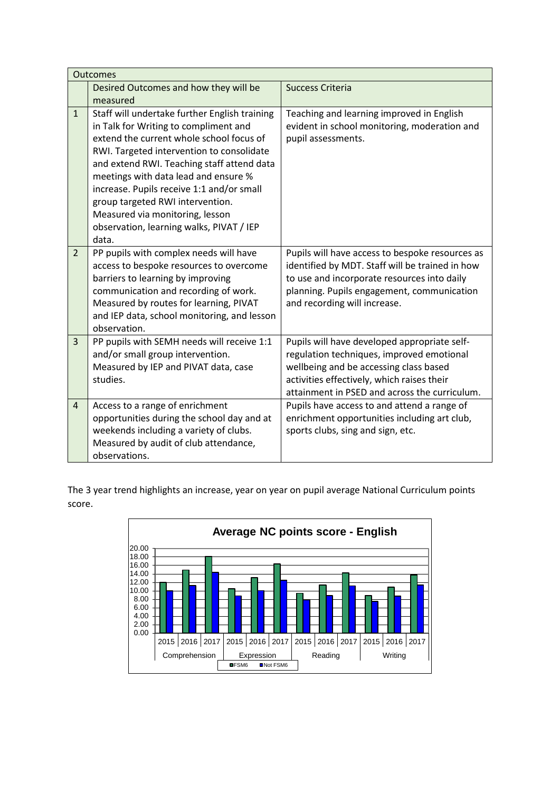|                | <b>Outcomes</b>                                                                                                                                                                                                                                                                                                                                                                                                                                |                                                                                                                                                                                                                                    |  |  |  |  |
|----------------|------------------------------------------------------------------------------------------------------------------------------------------------------------------------------------------------------------------------------------------------------------------------------------------------------------------------------------------------------------------------------------------------------------------------------------------------|------------------------------------------------------------------------------------------------------------------------------------------------------------------------------------------------------------------------------------|--|--|--|--|
|                | Desired Outcomes and how they will be                                                                                                                                                                                                                                                                                                                                                                                                          | <b>Success Criteria</b>                                                                                                                                                                                                            |  |  |  |  |
|                | measured                                                                                                                                                                                                                                                                                                                                                                                                                                       |                                                                                                                                                                                                                                    |  |  |  |  |
| $\mathbf{1}$   | Staff will undertake further English training<br>in Talk for Writing to compliment and<br>extend the current whole school focus of<br>RWI. Targeted intervention to consolidate<br>and extend RWI. Teaching staff attend data<br>meetings with data lead and ensure %<br>increase. Pupils receive 1:1 and/or small<br>group targeted RWI intervention.<br>Measured via monitoring, lesson<br>observation, learning walks, PIVAT / IEP<br>data. | Teaching and learning improved in English<br>evident in school monitoring, moderation and<br>pupil assessments.                                                                                                                    |  |  |  |  |
| $\overline{2}$ | PP pupils with complex needs will have<br>access to bespoke resources to overcome<br>barriers to learning by improving<br>communication and recording of work.<br>Measured by routes for learning, PIVAT<br>and IEP data, school monitoring, and lesson<br>observation.                                                                                                                                                                        | Pupils will have access to bespoke resources as<br>identified by MDT. Staff will be trained in how<br>to use and incorporate resources into daily<br>planning. Pupils engagement, communication<br>and recording will increase.    |  |  |  |  |
| $\overline{3}$ | PP pupils with SEMH needs will receive 1:1<br>and/or small group intervention.<br>Measured by IEP and PIVAT data, case<br>studies.                                                                                                                                                                                                                                                                                                             | Pupils will have developed appropriate self-<br>regulation techniques, improved emotional<br>wellbeing and be accessing class based<br>activities effectively, which raises their<br>attainment in PSED and across the curriculum. |  |  |  |  |
| $\overline{4}$ | Access to a range of enrichment<br>opportunities during the school day and at<br>weekends including a variety of clubs.<br>Measured by audit of club attendance,<br>observations.                                                                                                                                                                                                                                                              | Pupils have access to and attend a range of<br>enrichment opportunities including art club,<br>sports clubs, sing and sign, etc.                                                                                                   |  |  |  |  |

The 3 year trend highlights an increase, year on year on pupil average National Curriculum points score.